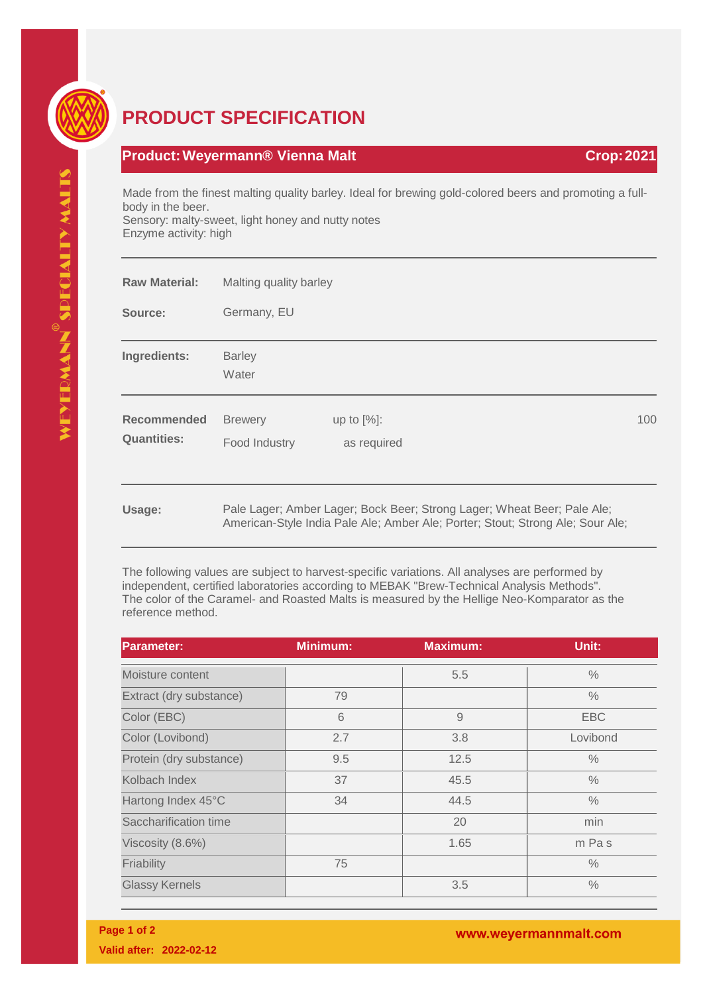

## **PRODUCT SPECIFICATION**

## **Product:Weyermann® Vienna Malt Crop:2021**

Made from the finest malting quality barley. Ideal for brewing gold-colored beers and promoting a fullbody in the beer. Sensory: malty-sweet, light honey and nutty notes Enzyme activity: high

| <b>Raw Material:</b>              | Malting quality barley<br>Germany, EU |                                                                                                                                                           |     |  |
|-----------------------------------|---------------------------------------|-----------------------------------------------------------------------------------------------------------------------------------------------------------|-----|--|
| Source:                           |                                       |                                                                                                                                                           |     |  |
| Ingredients:                      | <b>Barley</b><br>Water                |                                                                                                                                                           |     |  |
| Recommended<br><b>Quantities:</b> | <b>Brewery</b><br>Food Industry       | up to $[%]$ :<br>as required                                                                                                                              | 100 |  |
| Usage:                            |                                       | Pale Lager; Amber Lager; Bock Beer; Strong Lager; Wheat Beer; Pale Ale;<br>American-Style India Pale Ale; Amber Ale; Porter; Stout; Strong Ale; Sour Ale; |     |  |

The following values are subject to harvest-specific variations. All analyses are performed by independent, certified laboratories according to MEBAK "Brew-Technical Analysis Methods". The color of the Caramel- and Roasted Malts is measured by the Hellige Neo-Komparator as the reference method.

| <b>Parameter:</b>       | Minimum: | <b>Maximum:</b> | Unit:         |
|-------------------------|----------|-----------------|---------------|
| Moisture content        |          | 5.5             | $\%$          |
| Extract (dry substance) | 79       |                 | $\frac{0}{0}$ |
| Color (EBC)             | 6        | 9               | <b>EBC</b>    |
| Color (Lovibond)        | 2.7      | 3.8             | Lovibond      |
| Protein (dry substance) | 9.5      | 12.5            | $\%$          |
| Kolbach Index           | 37       | 45.5            | $\frac{0}{0}$ |
| Hartong Index 45°C      | 34       | 44.5            | $\frac{0}{0}$ |
| Saccharification time   |          | 20              | min           |
| Viscosity (8.6%)        |          | 1.65            | m Pas         |
| Friability              | 75       |                 | $\frac{0}{0}$ |
| <b>Glassy Kernels</b>   |          | 3.5             | $\frac{0}{0}$ |